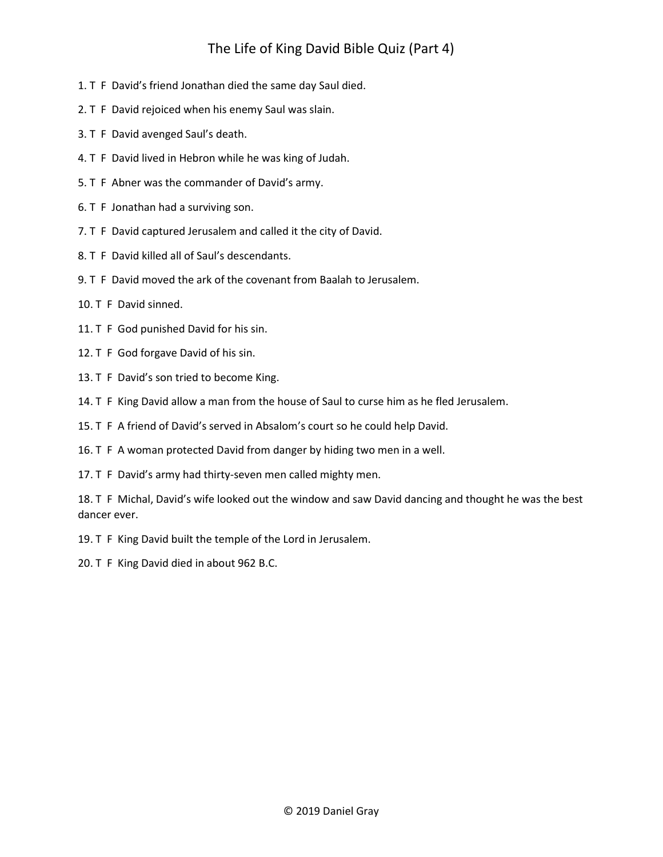## The Life of King David Bible Quiz (Part 4)

- 1. T F David's friend Jonathan died the same day Saul died.
- 2. T F David rejoiced when his enemy Saul was slain.
- 3. T F David avenged Saul's death.
- 4. T F David lived in Hebron while he was king of Judah.
- 5. T F Abner was the commander of David's army.
- 6. T F Jonathan had a surviving son.
- 7. T F David captured Jerusalem and called it the city of David.
- 8. T F David killed all of Saul's descendants.
- 9. T F David moved the ark of the covenant from Baalah to Jerusalem.
- 10. T F David sinned.
- 11. T F God punished David for his sin.
- 12. T F God forgave David of his sin.
- 13. T F David's son tried to become King.
- 14. T F King David allow a man from the house of Saul to curse him as he fled Jerusalem.
- 15. T F A friend of David's served in Absalom's court so he could help David.
- 16. T F A woman protected David from danger by hiding two men in a well.
- 17. T F David's army had thirty-seven men called mighty men.

18. T F Michal, David's wife looked out the window and saw David dancing and thought he was the best dancer ever.

- 19. T F King David built the temple of the Lord in Jerusalem.
- 20. T F King David died in about 962 B.C.